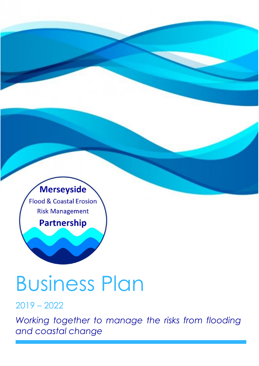

# Business Plan

### 2019 – 2022

*Working together to manage the risks from flooding and coastal change*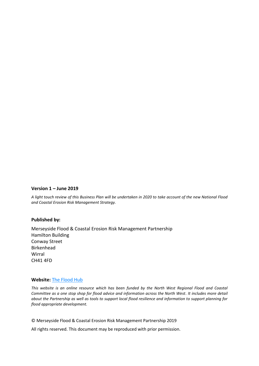#### **Version 1 – June 2019**

*A light touch review of this Business Plan will be undertaken in 2020 to take account of the new National Flood and Coastal Erosion Risk Management Strategy.* 

#### **Published by:**

Merseyside Flood & Coastal Erosion Risk Management Partnership Hamilton Building Conway Street Birkenhead Wirral CH41 4FD

#### **Website:** [The Flood Hub](https://thefloodhub.co.uk/your-local-area/merseyside/)

*This website is an online resource which has been funded by the North West Regional Flood and Coastal Committee as a one stop shop for flood advice and information across the North West. It includes more detail about the Partnership as well as tools to support local flood resilience and information to support planning for flood appropriate development.* 

© Merseyside Flood & Coastal Erosion Risk Management Partnership 2019

All rights reserved. This document may be reproduced with prior permission.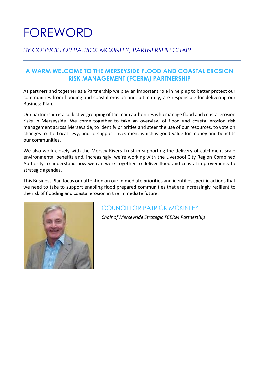# FOREWORD

#### *BY COUNCILLOR PATRICK MCKINLEY, PARTNERSHIP CHAIR*

#### **A WARM WELCOME TO THE MERSEYSIDE FLOOD AND COASTAL EROSION RISK MANAGEMENT (FCERM) PARTNERSHIP**

As partners and together as a Partnership we play an important role in helping to better protect our communities from flooding and coastal erosion and, ultimately, are responsible for delivering our Business Plan.

Our partnership is a collective grouping of the main authorities who manage flood and coastal erosion risks in Merseyside. We come together to take an overview of flood and coastal erosion risk management across Merseyside, to identify priorities and steer the use of our resources, to vote on changes to the Local Levy, and to support investment which is good value for money and benefits our communities.

We also work closely with the Mersey Rivers Trust in supporting the delivery of catchment scale environmental benefits and, increasingly, we're working with the Liverpool City Region Combined Authority to understand how we can work together to deliver flood and coastal improvements to strategic agendas.

This Business Plan focus our attention on our immediate priorities and identifies specific actions that we need to take to support enabling flood prepared communities that are increasingly resilient to the risk of flooding and coastal erosion in the immediate future.



### COUNCILLOR PATRICK MCKINLEY

*Chair of Merseyside Strategic FCERM Partnership*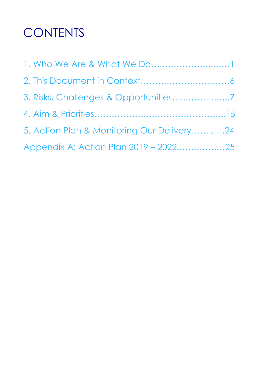# **CONTENTS**

| 1. Who We Are & What We Do1                |  |
|--------------------------------------------|--|
|                                            |  |
|                                            |  |
|                                            |  |
| 5. Action Plan & Monitoring Our Delivery24 |  |
| Appendix A: Action Plan 2019 - 202225      |  |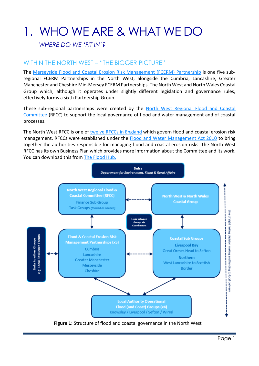# 1. WHO WE ARE & WHAT WE DO

#### *WHERE DO WE 'FIT IN'?*

#### WITHIN THE NORTH WEST – "THE BIGGER PICTURE"

The [Merseyside Flood and Coastal Erosion Risk Management \(FCERM\)](https://thefloodhub.co.uk/your-local-area/merseyside/) Partnership is one five subregional FCERM Partnerships in the North West, alongside the Cumbria, Lancashire, Greater Manchester and Cheshire Mid-Mersey FCERM Partnerships. The North West and North Wales Coastal Group which, although it operates under slightly different legislation and governance rules, effectively forms a sixth Partnership Group.

These sub-regional partnerships were created by the [North West Regional Flood and Coastal](https://thefloodhub.co.uk/about-us/#section-2)  [Committee](https://thefloodhub.co.uk/about-us/#section-2) (RFCC) to support the local governance of flood and water management and of coastal processes.

The North West RFCC is one of [twelve RFCCs in England](https://www.gov.uk/government/publications/regional-flood-and-coastal-committees-map) which govern flood and coastal erosion risk management. RFCCs were established under the [Flood and Water Management Act 2010](https://www.legislation.gov.uk/ukpga/2010/29/contents) to bring together the authorities responsible for managing flood and coastal erosion risks. The North West RFCC has its own Business Plan which provides more information about the Committee and its work. You can download this from [The Flood Hub.](https://thefloodhub.co.uk/)



**Figure 1:** Structure of flood and coastal governance in the North West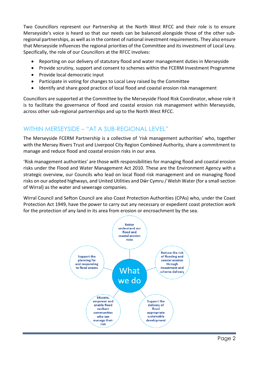Two Councillors represent our Partnership at the North West RFCC and their role is to ensure Merseyside's voice is heard so that our needs can be balanced alongside those of the other subregional partnerships, as well asin the context of national investment requirements. They also ensure that Merseyside influences the regional priorities of the Committee and its investment of Local Levy. Specifically, the role of our Councillors at the RFCC involves:

- Reporting on our delivery of statutory flood and water management duties in Merseyside
- Provide scrutiny, support and consent to schemes within the FCERM Investment Programme
- Provide local democratic input
- Participate in voting for changes to Local Levy raised by the Committee
- Identify and share good practice of local flood and coastal erosion risk management

Councillors are supported at the Committee by the Merseyside Flood Risk Coordinator, whose role it is to facilitate the governance of flood and coastal erosion risk management within Merseyside, across other sub-regional partnerships and up to the North West RFCC.

#### WITHIN MERSEYSIDE – "AT A SUB-REGIONAL LEVEL"

The Merseyside FCERM Partnership is a collective of 'risk management authorities' who, together with the Mersey Rivers Trust and Liverpool City Region Combined Authority, share a commitment to manage and reduce flood and coastal erosion risks in our area.

'Risk management authorities' are those with responsibilities for managing flood and coastal erosion risks under the Flood and Water Management Act 2010. These are the Environment Agency with a strategic overview, our Councils who lead on local flood risk management and on managing flood risks on our adopted highways, and United Utilities and Dŵr Cymru / Welsh Water (for a small section of Wirral) as the water and sewerage companies.

Wirral Council and Sefton Council are also Coast Protection Authorities (CPAs) who, under the Coast Protection Act 1949, have the power to carry out any necessary or expedient coast protection work for the protection of any land in its area from erosion or encroachment by the sea.

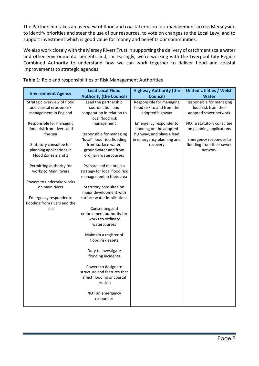The Partnership takes an overview of flood and coastal erosion risk management across Merseyside to identify priorities and steer the use of our resources, to vote on changes to the Local Levy, and to support investment which is good value for money and benefits our communities.

We also work closely with the Mersey Rivers Trust in supporting the delivery of catchment scale water and other environmental benefits and, increasingly, we're working with the Liverpool City Region Combined Authority to understand how we can work together to deliver flood and coastal improvements to strategic agendas.

| <b>Environment Agency</b>                              | <b>Lead Local Flood</b>                                  | <b>Highway Authority (the</b>                          | <b>United Utilities / Welsh</b>                     |
|--------------------------------------------------------|----------------------------------------------------------|--------------------------------------------------------|-----------------------------------------------------|
|                                                        | <b>Authority (the Council)</b>                           | <b>Council)</b>                                        | <b>Water</b>                                        |
| Strategic overview of flood                            | Lead the partnership                                     | Responsible for managing                               | Responsible for managing                            |
| and coastal erosion risk                               | coordination and                                         | flood risk to and from the                             | flood risk from their                               |
| management in England                                  | cooperation in relation to                               | adopted highway                                        | adopted sewer network                               |
|                                                        | local flood risk                                         |                                                        |                                                     |
| Responsible for managing<br>flood risk from rivers and | management                                               | Emergency responder to                                 | NOT a statutory consultee                           |
|                                                        |                                                          | flooding on the adopted                                | on planning applications                            |
| the sea                                                | Responsible for managing<br>'local' flood risk; flooding | highway, and plays a lead<br>in emergency planning and |                                                     |
| Statutory consultee for                                | from surface water,                                      | recovery                                               | Emergency responder to<br>flooding from their sewer |
| planning applications in                               | groundwater and from                                     |                                                        | network                                             |
| Flood Zones 2 and 3                                    | ordinary watercourses                                    |                                                        |                                                     |
|                                                        |                                                          |                                                        |                                                     |
| Permitting authority for                               | Prepare and maintain a                                   |                                                        |                                                     |
| works to Main Rivers                                   | strategy for local flood risk                            |                                                        |                                                     |
|                                                        | management in their area                                 |                                                        |                                                     |
| Powers to undertake works                              |                                                          |                                                        |                                                     |
| on main rivers                                         | Statutory consultee on                                   |                                                        |                                                     |
|                                                        | major development with                                   |                                                        |                                                     |
| Emergency responder to                                 | surface water implications                               |                                                        |                                                     |
| flooding from rivers and the                           |                                                          |                                                        |                                                     |
| sea                                                    | Consenting and                                           |                                                        |                                                     |
|                                                        | enforcement authority for                                |                                                        |                                                     |
|                                                        | works to ordinary                                        |                                                        |                                                     |
|                                                        | watercourses                                             |                                                        |                                                     |
|                                                        | Maintain a register of                                   |                                                        |                                                     |
|                                                        | flood risk assets                                        |                                                        |                                                     |
|                                                        |                                                          |                                                        |                                                     |
|                                                        | Duty to investigate                                      |                                                        |                                                     |
|                                                        | flooding incidents                                       |                                                        |                                                     |
|                                                        |                                                          |                                                        |                                                     |
|                                                        | Powers to designate                                      |                                                        |                                                     |
|                                                        | structure and features that                              |                                                        |                                                     |
|                                                        | affect flooding or coastal<br>erosion                    |                                                        |                                                     |
|                                                        |                                                          |                                                        |                                                     |
|                                                        | NOT an emergency                                         |                                                        |                                                     |
|                                                        | responder                                                |                                                        |                                                     |
|                                                        |                                                          |                                                        |                                                     |

**Table 1:** Role and responsibilities of Risk Management Authorities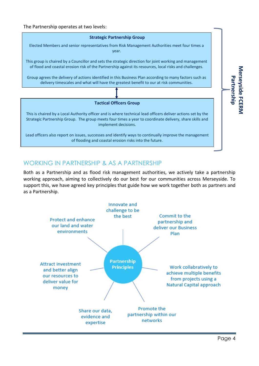#### The Partnership operates at two levels:



#### WORKING IN PARTNERSHIP & AS A PARTNERSHIP

Both as a Partnership and as flood risk management authorities, we actively take a partnership working approach, aiming to collectively do our best for our communities across Merseyside. To support this, we have agreed key principles that guide how we work together both as partners and as a Partnership.



**Merseyside FCERM** 

Merseyside FCERN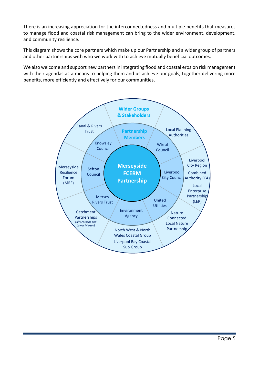There is an increasing appreciation for the interconnectedness and multiple benefits that measures to manage flood and coastal risk management can bring to the wider environment, development, and community resilience.

This diagram shows the core partners which make up our Partnership and a wider group of partners and other partnerships with who we work with to achieve mutually beneficial outcomes.

We also welcome and support new partners in integrating flood and coastal erosion risk management with their agendas as a means to helping them and us achieve our goals, together delivering more benefits, more efficiently and effectively for our communities.

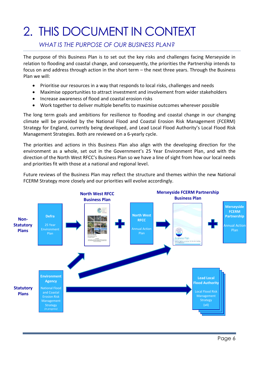# 2. THIS DOCUMENT IN CONTEXT

#### *WHAT IS THE PURPOSE OF OUR BUSINESS PLAN?*

The purpose of this Business Plan is to set out the key risks and challenges facing Merseyside in relation to flooding and coastal change, and consequently, the priorities the Partnership intends to focus on and address through action in the short term – the next three years. Through the Business Plan we will:

- Prioritise our resources in a way that responds to local risks, challenges and needs
- Maximise opportunities to attract investment and involvement from wider stakeholders
- Increase awareness of flood and coastal erosion risks
- Work together to deliver multiple benefits to maximise outcomes wherever possible

The long term goals and ambitions for resilience to flooding and coastal change in our changing climate will be provided by the National Flood and Coastal Erosion Risk Management (FCERM) Strategy for England, currently being developed, and Lead Local Flood Authority's Local Flood Risk Management Strategies. Both are reviewed on a 6-yearly cycle.

The priorities and actions in this Business Plan also align with the developing direction for the environment as a whole, set out in the Government's 25 Year Environment Plan, and with the direction of the North West RFCC's Business Plan so we have a line of sight from how our local needs and priorities fit with those at a national and regional level.

Future reviews of the Business Plan may reflect the structure and themes within the new National FCERM Strategy more closely and our priorities will evolve accordingly.

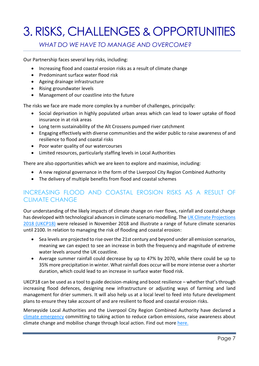# **3. RISKS, CHALLENGES & OPPORTUNITIES**

#### *WHAT DO WE HAVE TO MANAGE AND OVERCOME?*

Our Partnership faces several key risks, including:

- Increasing flood and coastal erosion risks as a result of climate change
- Predominant surface water flood risk
- Ageing drainage infrastructure
- Rising groundwater levels
- Management of our coastline into the future

The risks we face are made more complex by a number of challenges, principally:

- Social deprivation in highly populated urban areas which can lead to lower uptake of flood insurance in at risk areas
- Long term sustainability of the Alt Crossens pumped river catchment
- Engaging effectively with diverse communities and the wider public to raise awareness of and resilience to flood and coastal risks
- Poor water quality of our watercourses
- Limited resources, particularly staffing levels in Local Authorities

There are also opportunities which we are keen to explore and maximise, including:

- A new regional governance in the form of the Liverpool City Region Combined Authority
- The delivery of multiple benefits from flood and coastal schemes

### INCREASING FLOOD AND COASTAL EROSION RISKS AS A RESULT OF CLIMATE CHANGE

Our understanding of the likely impacts of climate change on river flows, rainfall and coastal change has developed with technological advances in climate scenario modelling. The [UK Climate Projections](https://www.metoffice.gov.uk/research/collaboration/ukcp)  [2018 \(UKCP18\)](https://www.metoffice.gov.uk/research/collaboration/ukcp) were released in November 2018 and illustrate a range of future climate scenarios until 2100. In relation to managing the risk of flooding and coastal erosion:

- Sea levels are projected to rise over the 21st century and beyond under all emission scenarios, meaning we can expect to see an increase in both the frequency and magnitude of extreme water levels around the UK coastline.
- Average summer rainfall could decrease by up to 47% by 2070, while there could be up to 35% more precipitation in winter. What rainfall does occur will be more intense over a shorter duration, which could lead to an increase in surface water flood risk.

UKCP18 can be used as a tool to guide decision-making and boost resilience – whether that's through increasing flood defences, designing new infrastructure or adjusting ways of farming and land management for drier summers. It will also help us at a local level to feed into future development plans to ensure they take account of and are resilient to flood and coastal erosion risks.

Merseyside Local Authorities and the Liverpool City Region Combined Authority have declared a [climate emergency](https://campaigncc.org/climateemergency.shtml) committing to taking action to reduce carbon emissions, raise awareness about climate change and mobilise change through local action. Find out more [here.](https://www.climateemergency.uk/)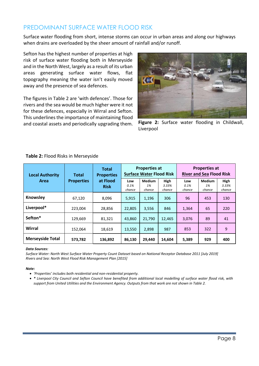#### PREDOMINANT SURFACE WATER FLOOD RISK

Surface water flooding from short, intense storms can occur in urban areas and along our highways when drains are overloaded by the sheer amount of rainfall and/or runoff.

Sefton has the highest number of properties at high risk of surface water flooding both in Merseyside and in the North West, largely as a result of its urban areas generating surface water flows, flat topography meaning the water isn't easily moved away and the presence of sea defences.

The figures in Table 2 are 'with defences'. Those for rivers and the sea would be much higher were it not for these defences, especially in Wirral and Sefton. This underlines the importance of maintaining flood and coastal assets and periodically upgrading them.



**Figure 2:** Surface water flooding in Childwall, Liverpool

| <b>Local Authority</b>  | Total             | <b>Total</b><br><b>Properties</b> |                       | <b>Properties at</b><br><b>Surface Water Flood Risk</b> |                                |                       | <b>Properties at</b><br><b>River and Sea Flood Risk</b> |                         |
|-------------------------|-------------------|-----------------------------------|-----------------------|---------------------------------------------------------|--------------------------------|-----------------------|---------------------------------------------------------|-------------------------|
| Area                    | <b>Properties</b> | at Flood<br><b>Risk</b>           | Low<br>0.1%<br>chance | <b>Medium</b><br>1%<br>chance                           | <b>High</b><br>3.33%<br>chance | Low<br>0.1%<br>chance | <b>Medium</b><br>1%<br>chance                           | High<br>3.33%<br>chance |
| Knowsley                | 67,120            | 8,096                             | 5,915                 | 1,196                                                   | 306                            | 96                    | 453                                                     | 130                     |
| Liverpool*              | 223,004           | 28,856                            | 22,805                | 3,556                                                   | 846                            | 1,364                 | 65                                                      | 220                     |
| Sefton*                 | 129,669           | 81,321                            | 43,860                | 21,790                                                  | 12,465                         | 3,076                 | 89                                                      | 41                      |
| Wirral                  | 152,064           | 18,619                            | 13,550                | 2,898                                                   | 987                            | 853                   | 322                                                     | 9                       |
| <b>Merseyside Total</b> | 573,782           | 136,892                           | 86,130                | 29,440                                                  | 14,604                         | 5,389                 | 929                                                     | 400                     |

#### **Table 2:** Flood Risks in Merseyside

#### *Data Sources:*

*Surface Water: North West Surface Water Property Count Dataset based on National Receptor Database 2011 [July 2019] Rivers and Sea: North West Flood Risk Management Plan [2015]*

#### *Note:*

- *'Properties' includes both residential and non-residential property.*
- *\* Liverpool City Council and Sefton Council have benefited from additional local modelling of surface water flood risk, with support from United Utilities and the Environment Agency. Outputs from that work are not shown in Table 2.*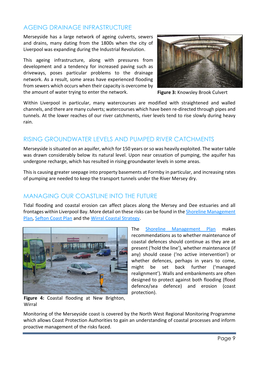#### AGEING DRAINAGE INFRASTRUCTURE

Merseyside has a large network of ageing culverts, sewers and drains, many dating from the 1800s when the city of Liverpool was expanding during the Industrial Revolution.

This ageing infrastructure, along with pressures from development and a tendency for increased paving such as driveways, poses particular problems to the drainage network. As a result, some areas have experienced flooding from sewers which occurs when their capacity is overcome by the amount of water trying to enter the network.



**Figure 3:** Knowsley Brook Culvert

Within Liverpool in particular, many watercourses are modified with straightened and walled channels, and there are many culverts; watercourses which have been re-directed through pipes and tunnels. At the lower reaches of our river catchments, river levels tend to rise slowly during heavy rain.

### RISING GROUNDWATER LEVELS AND PUMPED RIVER CATCHMENTS

Merseyside is situated on an aquifer, which for 150 years or so was heavily exploited. The water table was drawn considerably below its natural level. Upon near cessation of pumping, the aquifer has undergone recharge, which has resulted in rising groundwater levels in some areas.

This is causing greater seepage into property basements at Formby in particular, and increasing rates of pumping are needed to keep the transport tunnels under the River Mersey dry.

#### MANAGING OUR COASTLINE INTO THE FUTURE

Tidal flooding and coastal erosion can affect places along the Mersey and Dee estuaries and all frontages within Liverpool Bay. More detail on these risks can be found in th[e Shoreline Management](http://www.mycoastline.org.uk/info/1/shoreline_management/3/)  [Plan,](http://www.mycoastline.org.uk/info/1/shoreline_management/3/) [Sefton Coast Plan](https://www.seftoncoast.co.uk/plan) and the [Wirral Coastal Strategy.](http://democracy.wirral.gov.uk/ieDecisionDetails.aspx?AIId=23409)



**Figure 4:** Coastal flooding at New Brighton, **Wirral** 

The [Shoreline Management Plan](http://www.mycoastline.org.uk/info/1/shoreline_management/3/) makes recommendations as to whether maintenance of coastal defences should continue as they are at present ('hold the line'), whether maintenance (if any) should cease ('no active intervention') or whether defences, perhaps in years to come, might be set back further ('managed realignment'). Walls and embankments are often designed to protect against both flooding (flood defence/sea defence) and erosion (coast protection).

Monitoring of the Merseyside coast is covered by the North West Regional Monitoring Programme which allows Coast Protection Authorities to gain an understanding of coastal processes and inform proactive management of the risks faced.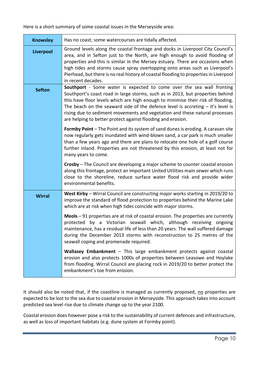Here is a short summary of some coastal issues in the Merseyside area:

| <b>Knowsley</b> | Has no coast; some watercourses are tidally affected.                                                                                                                                                                                                                                                                                                                                                                                                                          |
|-----------------|--------------------------------------------------------------------------------------------------------------------------------------------------------------------------------------------------------------------------------------------------------------------------------------------------------------------------------------------------------------------------------------------------------------------------------------------------------------------------------|
| Liverpool       | Ground levels along the coastal frontage and docks in Liverpool City Council's<br>area, and in Sefton just to the North, are high enough to avoid flooding of<br>properties and this is similar in the Mersey estuary. There are occasions when<br>high tides and storms cause spray overtopping onto areas such as Liverpool's<br>Pierhead, but there is no real history of coastal flooding to properties in Liverpool<br>in recent decades.                                 |
| <b>Sefton</b>   | Southport - Some water is expected to come over the sea wall fronting<br>Southport's coast road in large storms, such as in 2013, but properties behind<br>this have floor levels which are high enough to minimise their risk of flooding.<br>The beach on the seaward side of the defence level is accreting $-$ it's level is<br>rising due to sediment movements and vegetation and these natural processes<br>are helping to better protect against flooding and erosion. |
|                 | Formby Point - The Point and its system of sand dunes is eroding. A caravan site<br>now regularly gets inundated with wind-blown sand, a car park is much smaller<br>than a few years ago and there are plans to relocate one hole of a golf course<br>further inland. Properties are not threatened by this erosion, at least not for<br>many years to come.                                                                                                                  |
|                 | Crosby - The Council are developing a major scheme to counter coastal erosion<br>along this frontage, protect an important United Utilities main sewer which runs<br>close to the shoreline, reduce surface water flood risk and provide wider<br>environmental benefits.                                                                                                                                                                                                      |
| <b>Wirral</b>   | West Kirby - Wirral Council are constructing major works starting in 2019/20 to<br>improve the standard of flood protection to properties behind the Marine Lake<br>which are at risk when high tides coincide with major storms.                                                                                                                                                                                                                                              |
|                 | $Meols – 91 properties are at risk of coastal erosion. The properties are currently$<br>protected by a Victorian seawall which, although receiving ongoing<br>maintenance, has a residual life of less than 20 years. The wall suffered damage<br>during the December 2013 storms with reconstruction to 25 metres of the<br>seawall coping and promenade required.                                                                                                            |
|                 | Wallasey Embankment - This large embankment protects against coastal<br>erosion and also protects 1000s of properties between Leasowe and Hoylake<br>from flooding. Wirral Council are placing rock in 2019/20 to better protect the<br>embankment's toe from erosion.                                                                                                                                                                                                         |

It should also be noted that, if the coastline is managed as currently proposed, no properties are expected to be lost to the sea due to coastal erosion in Merseyside. This approach takes into account predicted sea level rise due to climate change up to the year 2100.

Coastal erosion does however pose a risk to the sustainability of current defences and infrastructure, as well as loss of important habitats (e.g. dune system at Formby point).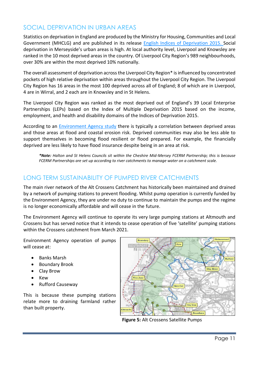#### SOCIAL DEPRIVATION IN URBAN AREAS

Statistics on deprivation in England are produced by the Ministry for Housing, Communities and Local Government (MHCLG) and are published in its release [English Indices of Deprivation 2015.](https://www.gov.uk/government/statistics/english-indices-of-deprivation-2015) Social deprivation in Merseyside's urban areas is high. At local authority level, Liverpool and Knowsley are ranked in the 10 most deprived areas in the country. Of Liverpool City Region's 989 neighbourhoods, over 30% are within the most deprived 10% nationally.

The overall assessment of deprivation across the Liverpool City Region\* is influenced by concentrated pockets of high relative deprivation within areas throughout the Liverpool City Region. The Liverpool City Region has 16 areas in the most 100 deprived across all of England; 8 of which are in Liverpool, 4 are in Wirral, and 2 each are in Knowsley and in St Helens.

The Liverpool City Region was ranked as the most deprived out of England's 39 Local Enterprise Partnerships (LEPs) based on the Index of Multiple Deprivation 2015 based on the income, employment, and health and disability domains of the Indices of Deprivation 2015.

According to an [Environment Agency study](https://assets.publishing.service.gov.uk/government/uploads/system/uploads/attachment_data/file/291064/scho0905bjol-e-e.pdf) there is typically a correlation between deprived areas and those areas at flood and coastal erosion risk. Deprived communities may also be less able to support themselves in becoming flood resilient or flood prepared. For example, the financially deprived are less likely to have flood insurance despite being in an area at risk.

*\*Note: Halton and St Helens Councils sit within the Cheshire Mid-Mersey FCERM Partnership; this is because FCERM Partnerships are set up according to river catchments to manage water on a catchment scale.* 

### LONG TERM SUSTAINABILITY OF PUMPED RIVER CATCHMENTS

The main river network of the Alt Crossens Catchment has historically been maintained and drained by a network of pumping stations to prevent flooding. Whilst pump operation is currently funded by the Environment Agency, they are under no duty to continue to maintain the pumps and the regime is no longer economically affordable and will cease in the future.

The Environment Agency will continue to operate its very large pumping stations at Altmouth and Crossens but has served notice that it intends to cease operation of five 'satellite' pumping stations within the Crossens catchment from March 2021.

Environment Agency operation of pumps will cease at:

- Banks Marsh
- Boundary Brook
- Clay Brow
- Kew
- Rufford Causeway

This is because these pumping stations relate more to draining farmland rather than built property.



**Figure 5:** Alt Crossens Satellite Pumps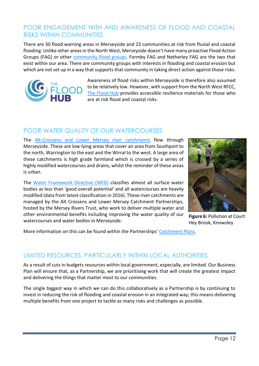#### POOR ENGAGEMENT WITH AND AWARENESS OF FLOOD AND COASTAL RISKS WITHIN COMMUNITIES

There are 30 flood warning areas in Merseyside and 23 communities at risk from fluvial and coastal flooding. Unlike other areas in the North West, Merseyside doesn't have many proactive Flood Action Groups (FAG) or other [community flood groups.](https://thefloodhub.co.uk/community/) Formby FAG and Netherley FAG are the two that exist within our area. There are community groups with interests in flooding and coastal erosion but which are not set up in a way that supports that community in taking direct action against those risks.



Awareness of flood risks within Merseyside is therefore also assumed to be relatively low. However, with support from the North West RFCC, [The Flood Hub](http://www.thefloodhub.co.uk/) provides accessible resilience materials for those who are at risk flood and coastal risks.

### POOR WATER QUALITY OF OUR WATERCOURSES

The [Alt-Crossens and Lower Mersey river catchments](http://merseyriverstrust.org.uk/index.php?option=com_sppagebuilder&view=page&id=25) flow through Merseyside. These are low-lying areas that cover an area from Southport to the north, Warrington to the east and the Wirral to the west. A large area of these catchments is high grade farmland which is crossed by a series of highly modified watercourses and drains, whilst the reminder of these areas is urban.

The [Water Framework Directive \(WFD\)](http://ec.europa.eu/environment/water/water-framework/index_en.html) classifies almost all surface water bodies as less than 'good overall potential' and all watercourses are heavily modified (data from latest classification in 2016). These river catchments are managed by the Alt Crossens and Lower Mersey Catchment Partnerships, hosted by the Mersey Rivers Trust, who work to deliver multiple water and other environmental benefits including improving the water quality of our watercourses and water bodies in Merseyside.



**Figure 6:** Pollution at Court Hey Brook, Knowsley

More information on this can be found within the Partnerships' [Catchment Plans.](http://www.healthyriverstrust.org.uk/index.php?option=com_sppagebuilder&view=page&id=25)

#### LIMITED RESOURCES, PARTICULARLY WITHIN LOCAL AUTHORITIES

As a result of cuts in budgets resources within local government, especially, are limited. Our Business Plan will ensure that, as a Partnership, we are prioritising work that will create the greatest impact and delivering the things that matter most to our communities.

The single biggest way in which we can do this collaboratively as a Partnership is by continuing to invest in reducing the risk of flooding and coastal erosion in an integrated way; this means delivering multiple benefits from one project to tackle as many risks and challenges as possible.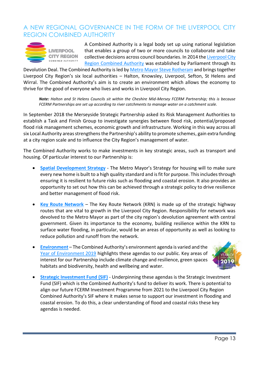#### A NEW REGIONAL GOVERNANCE IN THE FORM OF THE LIVERPOOL CITY REGION COMBINED AUTHORITY



**LIVERPOOL CITY REGION** COMBINED AUTHORITY

A Combined Authority is a legal body set up using national legislation that enables a group of two or more councils to collaborate and take collective decisions across council boundaries. In 2014 th[e Liverpool City](https://www.liverpoolcityregion-ca.gov.uk/governance/policy-documents/)  [Region Combined Authority](https://www.liverpoolcityregion-ca.gov.uk/governance/policy-documents/) was established by Parliament through its

Devolution Deal. The Combined Authority is led by [Metro Mayor Steve Rotheram](https://www.liverpoolcityregion-ca.gov.uk/your-metro-mayor/) and brings together Liverpool City Region's six local authorities – Halton, Knowsley, Liverpool, Sefton, St Helens and Wirral. The Combined Authority's aim is to create an environment which allows the economy to thrive for the good of everyone who lives and works in Liverpool City Region.

*Note: Halton and St Helens Councils sit within the Cheshire Mid-Mersey FCERM Partnership; this is because FCERM Partnerships are set up according to river catchments to manage water on a catchment scale.* 

In September 2018 the Merseyside Strategic Partnership asked its Risk Management Authorities to establish a Task and Finish Group to investigate synergies between flood risk, potential/proposed flood risk management schemes, economic growth and infrastructure. Working in this way across all six Local Authority areas strengthens the Partnership's ability to promote schemes, gain extra funding at a city region scale and to influence the City Region's management of water.

The Combined Authority works to make investments in key strategic areas, such as transport and housing. Of particular interest to our Partnership is:

- **[Spatial Development Strategy](https://www.liverpoolcityregion-ca.gov.uk/governance/policy-documents/#spatial-planning-environment-air-quality)** The Metro Mayor's Strategy for housing will to make sure every new home is built to a high quality standard and is fit for purpose. This includes through ensuring it is resilient to future risks such as flooding and coastal erosion. It also provides an opportunity to set out how this can be achieved through a strategic policy to drive resilience and better management of flood risk.
- **[Key Route Network](https://www.merseytravel.gov.uk/about-us/local-transport-delivery/Pages/keyroutenetwork.aspx)** The Key Route Network (KRN) is made up of the strategic highway routes that are vital to growth in the Liverpool City Region. Responsibility for network was devolved to the Metro Mayor as part of the city region's devolution agreement with central government. Given its importance to the economy, building resilience within the KRN to surface water flooding, in particular, would be an areas of opportunity as well as looking to reduce pollution and runoff from the network.
- **[Environment](https://www.liverpoolcityregion-ca.gov.uk/what-we-do/energy-environment/)** The Combined Authority's environment agenda is varied and the [Year of Environment 2019](http://yoe2019lcr.org.uk/) highlights these agendas to our public. Key areas of interest for our Partnership include climate change and resilience, green spaces habitats and biodiversity, health and wellbeing and water.



**[Strategic Investment Fund \(SIF\)](https://www.liverpoolcityregion-ca.gov.uk/governance/policy-documents/#strategic-investment-fund)** - Underpinning these agendas is the Strategic Investment Fund (SIF) which is the Combined Authority's fund to deliver its work. There is potential to align our future FCERM Investment Programme from 2021 to the Liverpool City Region Combined Authority's SIF where it makes sense to support our investment in flooding and coastal erosion. To do this, a clear understanding of flood and coastal risks these key agendas is needed.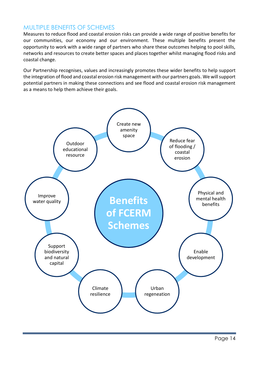#### MULTIPLE BENEFITS OF SCHEMES

Measures to reduce flood and coastal erosion risks can provide a wide range of positive benefits for our communities, our economy and our environment. These multiple benefits present the opportunity to work with a wide range of partners who share these outcomes helping to pool skills, networks and resources to create better spaces and places together whilst managing flood risks and coastal change.

Our Partnership recognises, values and increasingly promotes these wider benefits to help support the integration of flood and coastal erosion risk management with our partners goals. We will support potential partners in making these connections and see flood and coastal erosion risk management as a means to help them achieve their goals.

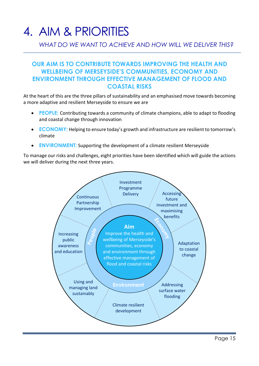## 4. AIM & PRIORITIES

### *WHAT DO WE WANT TO ACHIEVE AND HOW WILL WE DELIVER THIS?*

#### **OUR AIM IS TO CONTRIBUTE TOWARDS IMPROVING THE HEALTH AND WELLBEING OF MERSEYSIDE'S COMMUNITIES, ECONOMY AND ENVIRONMENT THROUGH EFFECTIVE MANAGEMENT OF FLOOD AND COASTAL RISKS**

At the heart of this are the three pillars of sustainability and an emphasised move towards becoming a more adaptive and resilient Merseyside to ensure we are

- **PEOPLE:** Contributing towards a community of climate champions, able to adapt to flooding and coastal change through innovation
- **ECONOMY:** Helping to ensure today's growth and infrastructure are resilient to tomorrow's climate
- **ENVIRONMENT:** Supporting the development of a climate resilient Merseyside

To manage our risks and challenges, eight priorities have been identified which will guide the actions we will deliver during the next three years.

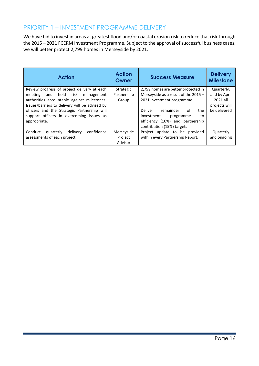#### PRIORITY 1 – INVESTMENT PROGRAMME DELIVERY

We have bid to invest in areas at greatest flood and/or coastal erosion risk to reduce that risk through the 2015 – 2021 FCERM Investment Programme. Subject to the approval of successful business cases, we will better protect 2,799 homes in Merseyside by 2021.

| <b>Action</b>                                                                                                                                                                                                                                                                                  | <b>Action</b><br>Owner            | <b>Success Measure</b>                                                                                                                                                                                                                           | <b>Delivery</b><br><b>Milestone</b>                                     |
|------------------------------------------------------------------------------------------------------------------------------------------------------------------------------------------------------------------------------------------------------------------------------------------------|-----------------------------------|--------------------------------------------------------------------------------------------------------------------------------------------------------------------------------------------------------------------------------------------------|-------------------------------------------------------------------------|
| Review progress of project delivery at each<br>and hold risk management<br>meeting<br>authorities accountable against milestones.<br>Issues/barriers to delivery will be advised by<br>officers and the Strategic Partnership will<br>support officers in overcoming issues as<br>appropriate. | Strategic<br>Partnership<br>Group | 2,799 homes are better protected in<br>Merseyside as a result of the 2015 -<br>2021 investment programme<br>Deliver<br>remainder<br>of<br>the<br>investment<br>programme<br>to<br>efficiency (10%) and partnership<br>contribution (15%) targets | Quarterly,<br>and by April<br>2021 all<br>projects will<br>be delivered |
| confidence<br>Conduct<br>quarterly<br>delivery<br>assessments of each project                                                                                                                                                                                                                  | Merseyside<br>Project<br>Advisor  | Project update to be provided<br>within every Partnership Report.                                                                                                                                                                                | Quarterly<br>and ongoing                                                |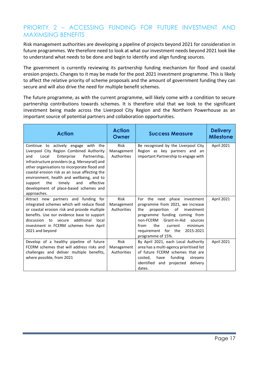#### PRIORITY 2 – ACCESSING FUNDING FOR FUTURE INVESTMENT AND MAXIMSING BENEFITS

Risk management authorities are developing a pipeline of projects beyond 2021 for consideration in future programmes. We therefore need to look at what our investment needs beyond 2021 look like to understand what needs to be done and begin to identify and align funding sources.

The government is currently reviewing its partnership funding mechanism for flood and coastal erosion projects. Changes to it may be made for the post 2021 investment programme. This is likely to affect the relative priority of scheme proposals and the amount of government funding they can secure and will also drive the need for multiple benefit schemes.

The future programme, as with the current programme, will likely come with a condition to secure partnership contributions towards schemes. It is therefore vital that we look to the significant investment being made across the Liverpool City Region and the Northern Powerhouse as an important source of potential partners and collaboration opportunities.

| <b>Action</b>                                                                                                                                                                                                                                                                                                                                                                                                                            | <b>Action</b><br>Owner                   | <b>Success Measure</b>                                                                                                                                                                                                                                                         | <b>Delivery</b><br><b>Milestone</b> |
|------------------------------------------------------------------------------------------------------------------------------------------------------------------------------------------------------------------------------------------------------------------------------------------------------------------------------------------------------------------------------------------------------------------------------------------|------------------------------------------|--------------------------------------------------------------------------------------------------------------------------------------------------------------------------------------------------------------------------------------------------------------------------------|-------------------------------------|
| Continue to actively engage with the<br>Liverpool City Region Combined Authority<br>Enterprise<br>Partnership,<br>and<br>Local<br>infrastructure providers (e.g. Merseyrail) and<br>other organisations to incorporate flood and<br>coastal erosion risk as an issue affecting the<br>environment, health and wellbeing, and to<br>the<br>timelv<br>and<br>effective<br>support<br>development of place-based schemes and<br>approaches. | Risk<br>Management<br>Authorities        | Be recognised by the Liverpool City<br>Region as key partners and an<br>important Partnership to engage with                                                                                                                                                                   | <b>April 2021</b>                   |
| Attract new partners and funding for<br>integrated schemes which will reduce flood<br>or coastal erosion risk and provide multiple<br>benefits. Use our evidence base to support<br>additional<br>discussion to secure<br>local<br>investment in FCERM schemes from April<br>2021 and beyond                                                                                                                                             | <b>Risk</b><br>Management<br>Authorities | For the next phase investment<br>programme from 2021, we increase<br>the<br>proportion<br>of<br>investment<br>programme funding coming from<br>non-FCERM Grant-in-Aid<br>sources<br>the<br>from<br>minimum<br>current<br>requirement for the<br>2015-2021<br>programme of 15%. | <b>April 2021</b>                   |
| Develop of a healthy pipeline of future<br>FCERM schemes that will address risks and<br>challenges and deliver multiple benefits,<br>where possible, from 2021                                                                                                                                                                                                                                                                           | Risk<br>Management<br>Authorities        | By April 2021, each Local Authority<br>area has a multi-agency prioritised list<br>of future FCERM schemes that are<br>funding<br>costed,<br>have<br>streams<br>identified<br>projected<br>delivery<br>and<br>dates.                                                           | <b>April 2021</b>                   |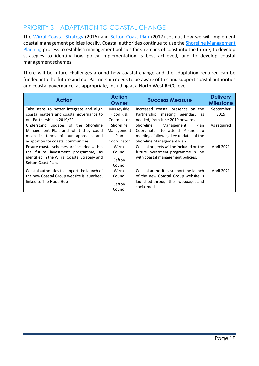### PRIORITY 3 – ADAPTATION TO COASTAL CHANGE

The [Wirral Coastal Strategy](http://democracy.wirral.gov.uk/ieDecisionDetails.aspx?AIId=23409) (2016) and [Sefton Coast Plan](https://www.seftoncoast.co.uk/plan) (2017) set out how we will implement coastal management policies locally. Coastal authorities continue to use the [Shoreline Management](http://www.mycoastline.org.uk/info/1/shoreline_management/3/)  [Planning](http://www.mycoastline.org.uk/info/1/shoreline_management/3/) process to establish management policies for stretches of coast into the future, to develop strategies to identify how policy implementation is best achieved, and to develop coastal management schemes.

There will be future challenges around how coastal change and the adaptation required can be funded into the future and our Partnership needs to be aware of this and support coastal authorities and coastal governance, as appropriate, including at a North West RFCC level.

| <b>Action</b>                                                       | <b>Action</b><br>Owner | <b>Success Measure</b>                               | <b>Delivery</b><br><b>Milestone</b> |
|---------------------------------------------------------------------|------------------------|------------------------------------------------------|-------------------------------------|
| Take steps to better integrate and align                            | Merseyside             | Increased coastal presence on the                    | September                           |
| coastal matters and coastal governance to                           | <b>Flood Risk</b>      | Partnership meeting agendas,<br>as                   | 2019                                |
| our Partnership in 2019/20                                          | Coordinator            | needed, from June 2019 onwards                       |                                     |
| Understand updates of the Shoreline                                 | Shoreline              | Shoreline<br>Plan<br>Management                      | As required                         |
| Management Plan and what they could                                 | Management             | Coordinator to attend Partnership                    |                                     |
| mean in terms of our approach and                                   | Plan                   | meetings following key updates of the                |                                     |
| adaptation for coastal communities                                  | Coordinator            | Shoreline Management Plan                            |                                     |
| Ensure coastal schemes are included within                          | Wirral                 | Coastal projects will be included on the             | <b>April 2021</b>                   |
| the future investment programme, as                                 | Council                | future investment programme in line                  |                                     |
| identified in the Wirral Coastal Strategy and<br>Sefton Coast Plan. | Sefton                 | with coastal management policies.                    |                                     |
|                                                                     | Council                |                                                      |                                     |
| Coastal authorities to support the launch of                        | Wirral                 | Coastal authorities support the launch               | <b>April 2021</b>                   |
| the new Coastal Group website is launched,                          | Council                | of the new Coastal Group website is                  |                                     |
| linked to The Flood Hub                                             | Sefton<br>Council      | launched through their webpages and<br>social media. |                                     |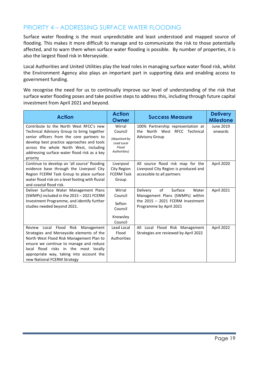### PRIORITY 4 – ADDRESSING SURFACE WATER FLOODING

Surface water flooding is the most unpredictable and least understood and mapped source of flooding. This makes it more difficult to manage and to communicate the risk to those potentially affected, and to warn them when surface water flooding is possible. By number of properties, it is also the largest flood risk in Merseyside.

Local Authorities and United Utilities play the lead roles in managing surface water flood risk, whilst the Environment Agency also plays an important part in supporting data and enabling access to government funding.

We recognise the need for us to continually improve our level of understanding of the risk that surface water flooding poses and take positive steps to address this, including through future capital investment from April 2021 and beyond.

| <b>Action</b>                                                                                                                                                                                                                                                                              | <b>Action</b><br>Owner                                                    | <b>Success Measure</b>                                                                                                                 | <b>Delivery</b><br><b>Milestone</b> |
|--------------------------------------------------------------------------------------------------------------------------------------------------------------------------------------------------------------------------------------------------------------------------------------------|---------------------------------------------------------------------------|----------------------------------------------------------------------------------------------------------------------------------------|-------------------------------------|
| Contribute to the North West RFCC's new<br>Technical Advisory Group to bring together<br>senior officers from the core partners to<br>develop best practice approaches and tools<br>across the whole North West, including<br>addressing surface water flood risk as a key<br>priority     | Wirral<br>Council<br>(deputised by<br>Lead Local<br>Flood<br>Authorities) | 100% Partnership representation at<br>the North West RFCC Technical<br><b>Advisory Group</b>                                           | June 2019<br>onwards                |
| Continue to develop an 'all source' flooding<br>evidence base through the Liverpool City<br>Region FCERM Task Group to place surface<br>water flood risk on a level footing with fluvial<br>and coastal flood risk.                                                                        | Liverpool<br>City Region<br><b>FCERM Task</b><br>Group                    | All source flood risk map for the<br>Liverpool City Region is produced and<br>accessible to all partners                               | April 2020                          |
| Deliver Surface Water Management Plans<br>(SWMPs) included in the 2015 - 2021 FCERM<br>Investment Programme, and identify further<br>studies needed beyond 2021.                                                                                                                           | Wirral<br>Council<br>Sefton<br>Council<br>Knowsley<br>Council             | of<br>Surface<br>Delivery<br>Water<br>Management Plans (SWMPs) within<br>the $2015 - 2021$ FCERM Investment<br>Programme by April 2021 | April 2021                          |
| Review Local Flood Risk Management<br>Strategies and Merseyside elements of the<br>North West Flood Risk Management Plan to<br>ensure we continue to manage and reduce<br>local flood risks in the most locally<br>appropriate way, taking into account the<br>new National FCERM Strategy | Lead Local<br>Flood<br>Authorities                                        | All Local Flood Risk Management<br>Strategies are reviewed by April 2022                                                               | April 2022                          |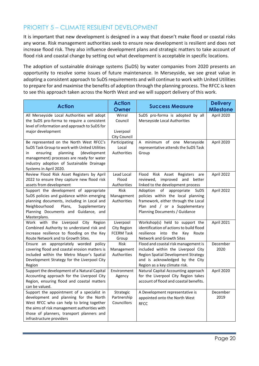### PRIORITY 5 – CLIMATE RESILIENT DEVELOPMENT

It is important that new development is designed in a way that doesn't make flood or coastal risks any worse. Risk management authorities seek to ensure new development is resilient and does not increase flood risk. They also influence development plans and strategic matters to take account of flood risk and coastal change by setting out what development is acceptable in specific locations.

The adoption of sustainable drainage systems (SuDS) by water companies from 2020 presents an opportunity to resolve some issues of future maintenance. In Merseyside, we see great value in adopting a consistent approach to SuDS requirements and will continue to work with United Utilities to prepare for and maximise the benefits of adoption through the planning process. The RFCC is keen to see this approach taken across the North West and we will support delivery of this work.

| <b>Action</b>                                                                                                                                                                                                                                               | <b>Action</b><br><b>Owner</b>                          | <b>Success Measure</b>                                                                                                                                                                       | <b>Delivery</b><br><b>Milestone</b> |
|-------------------------------------------------------------------------------------------------------------------------------------------------------------------------------------------------------------------------------------------------------------|--------------------------------------------------------|----------------------------------------------------------------------------------------------------------------------------------------------------------------------------------------------|-------------------------------------|
| All Merseyside Local Authorities will adopt<br>the SuDS pro-forma to require a consistent<br>level of information and approach to SuDS for<br>major development                                                                                             | Wirral<br>Council<br>Liverpool<br>City Council         | SuDS pro-forma is adopted by all<br>Merseyside Local Authorities                                                                                                                             | April 2020                          |
| Be represented on the North West RFCC's<br>SuDS Task Group to work with United Utilities<br>planning<br>(development<br>ensuring<br>in.<br>management) processes are ready for water<br>industry adoption of Sustainable Drainage<br>Systems in April 2020. | Participating<br>Local<br>Authorities                  | A minimum of one Merseyside<br>representative attends the SuDS Task<br>Group                                                                                                                 | April 2020                          |
| Review Flood Risk Asset Registers by April<br>2022 to ensure they capture new flood risk<br>assets from development                                                                                                                                         | Lead Local<br>Flood<br>Authorities                     | Flood<br>Risk Asset Registers<br>are<br>reviewed, improved and<br>better<br>linked to the development process                                                                                | April 2022                          |
| Support the development of appropriate<br>SuDS policies and guidance within emerging<br>planning documents, including in Local and<br>Neighbourhood<br>Plans,<br>Supplementary<br>Planning Documents and Guidance, and<br>Masterplans.                      | <b>Risk</b><br>Management<br>Authorities               | Adoption<br>of<br>appropriate<br>SuDS<br>policies within the local planning<br>framework, either through the Local<br>Plan and / or a Supplementary<br>Planning Documents / Guidance         | April 2022                          |
| Work with the Liverpool City Region<br>Combined Authority to understand risk and<br>increase resilience to flooding on the Key<br>Route Network and to Growth Sites.                                                                                        | Liverpool<br>City Region<br><b>FCERM Task</b><br>Group | Workshop(s) held to support the<br>identification of actions to build flood<br>resilience into the Key Route<br>Network and Growth Sites                                                     | April 2021                          |
| Ensure an appropriately worded policy<br>covering flood and coastal erosion matters is<br>included within the Metro Mayor's Spatial<br>Development Strategy for the Liverpool City<br>Region                                                                | Risk<br>Management<br>Authorities                      | Flood and coastal risk management is<br>included within the Liverpool City<br><b>Region Spatial Development Strategy</b><br>and is acknowledged by the City<br>Region as a key climate risk. | December<br>2020                    |
| Support the development of a Natural Capital<br>Accounting approach for the Liverpool City<br>Region, ensuring flood and coastal matters<br>can be valued.                                                                                                  | Environment<br>Agency                                  | Natural Capital Accounting approach<br>for the Liverpool City Region takes<br>account of flood and coastal benefits.                                                                         | April 2020                          |
| Support the appointment of a specialist in<br>development and planning for the North<br>West RFCC who can help to bring together<br>the aims of risk management authorities with<br>those of planners, transport planners and<br>infrastructure providers   | Strategic<br>Partnership<br>Councillors                | A Development representative is<br>appointed onto the North West<br><b>RFCC</b>                                                                                                              | December<br>2019                    |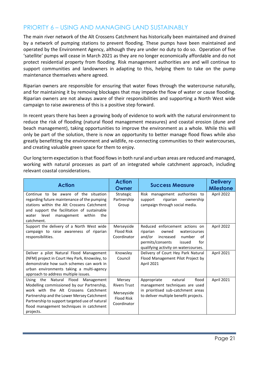#### PRIORITY 6 – USING AND MANAGING LAND SUSTAINABLY

The main river network of the Alt Crossens Catchment has historically been maintained and drained by a network of pumping stations to prevent flooding. These pumps have been maintained and operated by the Environment Agency, although they are under no duty to do so. Operation of five 'satellite' pumps will cease in March 2021 as they are no longer economically affordable and do not protect residential property from flooding. Risk management authorities are and will continue to support communities and landowners in adapting to this, helping them to take on the pump maintenance themselves where agreed.

Riparian owners are responsible for ensuring that water flows through the watercourse naturally, and for maintaining it by removing blockages that may impede the flow of water or cause flooding. Riparian owners are not always aware of their responsibilities and supporting a North West wide campaign to raise awareness of this is a positive step forward.

In recent years there has been a growing body of evidence to work with the natural environment to reduce the risk of flooding (natural flood management measures) and coastal erosion (dune and beach management), taking opportunities to improve the environment as a whole. While this will only be part of the solution, there is now an opportunity to better manage flood flows while also greatly benefitting the environment and wildlife, re-connecting communities to their watercourses, and creating valuable green space for them to enjoy.

Our long term expectation is that flood flows in both rural and urban areas are reduced and managed, working with natural processes as part of an integrated whole catchment approach, including relevant coastal considerations.

| <b>Action</b>                                                                                                                                                                                                                                                                        | <b>Action</b><br>Owner                                                          | <b>Success Measure</b>                                                                                                                                                                  | <b>Delivery</b><br><b>Milestone</b> |
|--------------------------------------------------------------------------------------------------------------------------------------------------------------------------------------------------------------------------------------------------------------------------------------|---------------------------------------------------------------------------------|-----------------------------------------------------------------------------------------------------------------------------------------------------------------------------------------|-------------------------------------|
| Continue to be aware of the situation<br>regarding future maintenance of the pumping<br>stations within the Alt Crossens Catchment<br>and support the facilitation of sustainable<br>level<br>water<br>management<br>within<br>the<br>catchment.                                     | Strategic<br>Partnership<br>Group                                               | Risk management authorities to<br>support<br>riparian<br>ownership<br>campaign through social media.                                                                                    | April 2022                          |
| Support the delivery of a North West wide<br>campaign to raise awareness of riparian<br>responsibilities.                                                                                                                                                                            | Merseyside<br><b>Flood Risk</b><br>Coordinator                                  | Reduced enforcement actions on<br>riparian<br>owned<br>watercourses<br>and/or<br>increased<br>number<br>οf<br>permits/consents<br>for<br>issued<br>qualifying activity on watercourses. | April 2022                          |
| Deliver a pilot Natural Flood Management<br>(NFM) project in Court Hey Park, Knowsley, to<br>demonstrate how such schemes can work in<br>urban environments taking a multi-agency<br>approach to address multiple issues.                                                            | Knowsley<br>Council                                                             | Delivery of Court Hey Park Natural<br>Flood Management Pilot Project by<br>April 2021                                                                                                   | April 2021                          |
| Using the Natural Flood<br>Management<br>Modelling commissioned by our Partnership,<br>work with the Alt Crossens Catchment<br>Partnership and the Lower Mersey Catchment<br>Partnership to support targeted use of natural<br>flood management techniques in catchment<br>projects. | Mersey<br><b>Rivers Trust</b><br>Merseyside<br><b>Flood Risk</b><br>Coordinator | flood<br>natural<br>Appropriate<br>management techniques are used<br>in prioritised sub-catchment areas<br>to deliver multiple benefit projects.                                        | April 2021                          |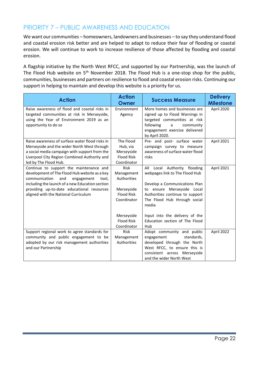### PRIORITY 7 – PUBLIC AWARENESS AND EDUCATION

We want our communities – homeowners, landowners and businesses – to say they understand flood and coastal erosion risk better and are helped to adapt to reduce their fear of flooding or coastal erosion. We will continue to work to increase resilience of those affected by flooding and coastal erosion.

A flagship initiative by the North West RFCC, and supported by our Partnership, was the launch of The Flood Hub website on 5<sup>th</sup> November 2018. The Flood Hub is a one-stop shop for the public, communities, businesses and partners on resilience to flood and coastal erosion risks. Continuing our support in helping to maintain and develop this website is a priority for us.

| <b>Action</b>                                                                                | <b>Action</b><br>Owner           | <b>Success Measure</b>                                          | <b>Delivery</b><br><b>Milestone</b> |
|----------------------------------------------------------------------------------------------|----------------------------------|-----------------------------------------------------------------|-------------------------------------|
| Raise awareness of flood and coastal risks in<br>targeted communities at risk in Merseyside, | Environment<br>Agency            | More homes and businesses are<br>signed up to Flood Warnings in | April 2020                          |
| using the Year of Environment 2019 as an<br>opportunity to do so                             |                                  | targeted communities at risk<br>following<br>community<br>a     |                                     |
|                                                                                              |                                  | engagement exercise delivered<br>by April 2020.                 |                                     |
| Raise awareness of surface water flood risks in                                              | The Flood                        | Pre- and post- surface water                                    | April 2021                          |
| Merseyside and the wider North West through                                                  | Hub, via                         | campaign survey to measure                                      |                                     |
| a social media campaign with support from the                                                | Merseyside                       | awareness of surface water flood                                |                                     |
| Liverpool City Region Combined Authority and                                                 | <b>Flood Risk</b><br>Coordinator | risks                                                           |                                     |
| led by The Flood Hub.<br>Continue to support the maintenance and                             | <b>Risk</b>                      | All Local Authority flooding                                    | April 2021                          |
| development of The Flood Hub website as a key                                                | Management                       | webpages link to The Flood Hub                                  |                                     |
| communication<br>and<br>engagement<br>tool,                                                  | Authorities                      |                                                                 |                                     |
| including the launch of a new Education section                                              |                                  | Develop a Communications Plan                                   |                                     |
| providing up-to-date educational resources                                                   | Merseyside                       | to ensure Merseyside Local                                      |                                     |
| aligned with the National Curriculum                                                         | <b>Flood Risk</b>                | Authorities continue to support                                 |                                     |
|                                                                                              | Coordinator                      | The Flood Hub through social                                    |                                     |
|                                                                                              |                                  | media                                                           |                                     |
|                                                                                              | Merseyside                       | Input into the delivery of the                                  |                                     |
|                                                                                              | <b>Flood Risk</b>                | Education section of The Flood                                  |                                     |
|                                                                                              | Coordinator                      | Hub                                                             |                                     |
| Support regional work to agree standards for                                                 | Risk                             | Adopt community and public                                      | April 2022                          |
| community and public engagement to be                                                        | Management                       | standards,<br>engagement                                        |                                     |
| adopted by our risk management authorities                                                   | Authorities                      | developed through the North                                     |                                     |
| and our Partnership                                                                          |                                  | West RFCC, to ensure this is                                    |                                     |
|                                                                                              |                                  | consistent across Merseyside                                    |                                     |
|                                                                                              |                                  | and the wider North West                                        |                                     |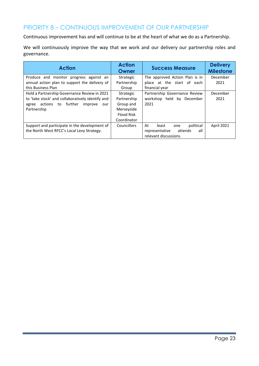### PRIORITY 8 – CONTINUOUS IMPROVEMENT OF OUR PARTNERSHIP

Continuous improvement has and will continue to be at the heart of what we do as a Partnership.

We will continuously improve the way that we work and our delivery our partnership roles and governance.

| <b>Action</b>                                    | <b>Action</b><br>Owner | <b>Success Measure</b>           | <b>Delivery</b><br><b>Milestone</b> |
|--------------------------------------------------|------------------------|----------------------------------|-------------------------------------|
| Produce and monitor progress against an          | Strategic              | The approved Action Plan is in   | December                            |
| annual action plan to support the delivery of    | Partnership            | place at the start of<br>each    | 2021                                |
| this Business Plan                               | Group                  | financial year                   |                                     |
| Hold a Partnership Governance Review in 2021     | Strategic              | Partnership Governance Review    | December                            |
| to 'take stock' and collaboratively identify and | Partnership            | workshop held by December        | 2021                                |
| agree actions to further improve<br>our          | Group and              | 2021                             |                                     |
| Partnership                                      | Merseyside             |                                  |                                     |
|                                                  | Flood Risk             |                                  |                                     |
|                                                  | Coordinator            |                                  |                                     |
| Support and participate in the development of    | Councillors            | political<br>At<br>least<br>one  | April 2021                          |
| the North West RFCC's Local Levy Strategy.       |                        | all<br>representative<br>attends |                                     |
|                                                  |                        | relevant discussions.            |                                     |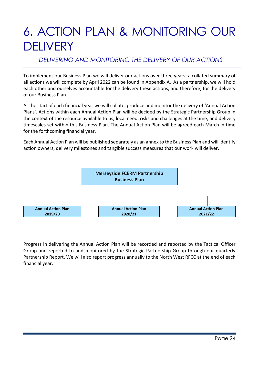# 6. ACTION PLAN & MONITORING OUR **DELIVERY**

#### *DELIVERING AND MONITORING THE DELIVERY OF OUR ACTIONS*

To implement our Business Plan we will deliver our actions over three years; a collated summary of all actions we will complete by April 2022 can be found in Appendix A. As a partnership, we will hold each other and ourselves accountable for the delivery these actions, and therefore, for the delivery of our Business Plan.

At the start of each financial year we will collate, produce and monitor the delivery of 'Annual Action Plans'. Actions within each Annual Action Plan will be decided by the Strategic Partnership Group in the context of the resource available to us, local need, risks and challenges at the time, and delivery timescales set within this Business Plan. The Annual Action Plan will be agreed each March in time for the forthcoming financial year.

Each Annual Action Plan will be published separately as an annex to the Business Plan and will identify action owners, delivery milestones and tangible success measures that our work will deliver.



Progress in delivering the Annual Action Plan will be recorded and reported by the Tactical Officer Group and reported to and monitored by the Strategic Partnership Group through our quarterly Partnership Report. We will also report progress annually to the North West RFCC at the end of each financial year.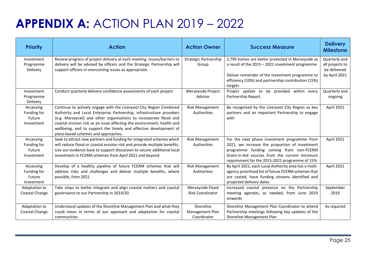# **APPENDIX A:** ACTION PLAN 2019 – 2022

| <b>Priority</b>                                  | <b>Action</b>                                                                                                                                                                                                                                                                                                                                                                                           | <b>Action Owner</b>                         | <b>Success Measure</b>                                                                                                                                                                                                                        | <b>Delivery</b><br><b>Milestone</b>                               |
|--------------------------------------------------|---------------------------------------------------------------------------------------------------------------------------------------------------------------------------------------------------------------------------------------------------------------------------------------------------------------------------------------------------------------------------------------------------------|---------------------------------------------|-----------------------------------------------------------------------------------------------------------------------------------------------------------------------------------------------------------------------------------------------|-------------------------------------------------------------------|
| Investment<br>Programme<br>Delivery              | Review progress of project delivery at each meeting. Issues/barriers to<br>delivery will be advised by officers and the Strategic Partnership will<br>support officers in overcoming issues as appropriate.                                                                                                                                                                                             | <b>Strategic Partnership</b><br>Group       | 2,799 homes are better protected in Merseyside as<br>a result of the 2015 - 2021 investment programme<br>Deliver remainder of the investment programme to<br>efficiency (10%) and partnership contribution (15%)<br>targets                   | Quarterly and<br>all projects to<br>be delivered<br>by April 2021 |
| Investment<br>Programme<br>Delivery              | Conduct quarterly delivery confidence assessments of each project                                                                                                                                                                                                                                                                                                                                       | Merseyside Project<br>Advisor               | Project update to be provided within every<br>Partnership Report.                                                                                                                                                                             | Quarterly and<br>ongoing                                          |
| Accessing<br>Funding for<br>Future<br>Investment | Continue to actively engage with the Liverpool City Region Combined<br>Authority and Local Enterprise Partnership, infrastructure providers<br>(e.g. Merseyrail) and other organisations to incorporate flood and<br>coastal erosion risk as an issue affecting the environment, health and<br>wellbeing, and to support the timely and effective development of<br>place-based schemes and approaches. | <b>Risk Management</b><br>Authorities       | Be recognised by the Liverpool City Region as key<br>partners and an important Partnership to engage<br>with                                                                                                                                  | April 2021                                                        |
| Accessing<br>Funding for<br>Future<br>Investment | Seek to attract new partners and funding for integrated schemes which<br>will reduce flood or coastal erosion risk and provide multiple benefits.<br>Use our evidence base to support discussion to secure additional local<br>investment in FCERM schemes from April 2021 and beyond                                                                                                                   | <b>Risk Management</b><br>Authorities       | For the next phase investment programme from<br>2021, we increase the proportion of investment<br>programme funding coming from non-FCERM<br>Grant-in-Aid sources from the current minimum<br>requirement for the 2015-2021 programme of 15%. | April 2021                                                        |
| Accessing<br>Funding for<br>Future<br>Investment | Develop of a healthy pipeline of future FCERM schemes that will<br>address risks and challenges and deliver multiple benefits, where<br>possible, from 2021                                                                                                                                                                                                                                             | <b>Risk Management</b><br>Authorities       | By April 2021, each Local Authority area has a multi-<br>agency prioritised list of future FCERM schemes that<br>are costed, have funding streams identified and<br>projected delivery dates.                                                 | April 2021                                                        |
| Adaptation to<br>Coastal Change                  | Take steps to better integrate and align coastal matters and coastal<br>governance to our Partnership in 2019/20                                                                                                                                                                                                                                                                                        | Merseyside Flood<br>Risk Coordinator        | Increased coastal presence on the Partnership<br>meeting agendas, as needed, from June 2019<br>onwards                                                                                                                                        | September<br>2019                                                 |
| Adaptation to<br>Coastal Change                  | Understand updates of the Shoreline Management Plan and what they<br>could mean in terms of our approach and adaptation for coastal<br>communities                                                                                                                                                                                                                                                      | Shoreline<br>Management Plan<br>Coordinator | Shoreline Management Plan Coordinator to attend<br>Partnership meetings following key updates of the<br>Shoreline Management Plan                                                                                                             | As required                                                       |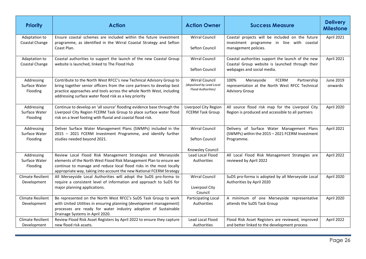| <b>Priority</b>                         | <b>Action</b>                                                                                                                                                                                                                                                                     | <b>Action Owner</b>                                                            | <b>Success Measure</b>                                                                                                             | <b>Delivery</b><br><b>Milestone</b> |
|-----------------------------------------|-----------------------------------------------------------------------------------------------------------------------------------------------------------------------------------------------------------------------------------------------------------------------------------|--------------------------------------------------------------------------------|------------------------------------------------------------------------------------------------------------------------------------|-------------------------------------|
| Adaptation to<br>Coastal Change         | Ensure coastal schemes are included within the future investment<br>programme, as identified in the Wirral Coastal Strategy and Sefton<br>Coast Plan.                                                                                                                             | <b>Wirral Council</b><br>Sefton Council                                        | Coastal projects will be included on the future<br>investment programme in line with coastal<br>management policies.               | April 2021                          |
| Adaptation to<br>Coastal Change         | Coastal authorities to support the launch of the new Coastal Group<br>website is launched, linked to The Flood Hub                                                                                                                                                                | <b>Wirral Council</b><br>Sefton Council                                        | Coastal authorities support the launch of the new<br>Coastal Group website is launched through their<br>webpages and social media. | April 2021                          |
| Addressing<br>Surface Water<br>Flooding | Contribute to the North West RFCC's new Technical Advisory Group to<br>bring together senior officers from the core partners to develop best<br>practice approaches and tools across the whole North West, including<br>addressing surface water flood risk as a key priority     | <b>Wirral Council</b><br>(deputised by Lead Local<br><b>Flood Authorities)</b> | 100%<br>Merseyside<br><b>FCERM</b><br>Partnership<br>representation at the North West RFCC Technical<br><b>Advisory Group</b>      | June 2019<br>onwards                |
| Addressing<br>Surface Water<br>Flooding | Continue to develop an 'all source' flooding evidence base through the<br>Liverpool City Region FCERM Task Group to place surface water flood<br>risk on a level footing with fluvial and coastal flood risk.                                                                     | Liverpool City Region<br><b>FCERM Task Group</b>                               | All source flood risk map for the Liverpool City<br>Region is produced and accessible to all partners                              | April 2020                          |
| Addressing<br>Surface Water<br>Flooding | Deliver Surface Water Management Plans (SWMPs) included in the<br>2015 - 2021 FCERM Investment Programme, and identify further<br>studies needed beyond 2021.                                                                                                                     | <b>Wirral Council</b><br>Sefton Council<br>Knowsley Council                    | Delivery of Surface Water Management Plans<br>(SWMPs) within the 2015 - 2021 FCERM Investment<br>Programme.                        | April 2021                          |
| Addressing<br>Surface Water<br>Flooding | Review Local Flood Risk Management Strategies and Merseyside<br>elements of the North West Flood Risk Management Plan to ensure we<br>continue to manage and reduce local flood risks in the most locally<br>appropriate way, taking into account the new National FCERM Strategy | Lead Local Flood<br>Authorities                                                | All Local Flood Risk Management Strategies are<br>reviewed by April 2022                                                           | April 2022                          |
| <b>Climate Resilient</b><br>Development | All Merseyside Local Authorities will adopt the SuDS pro-forma to<br>require a consistent level of information and approach to SuDS for<br>major planning applications.                                                                                                           | <b>Wirral Council</b><br>Liverpool City<br>Council                             | SuDS pro-forma is adopted by all Merseyside Local<br>Authorities by April 2020                                                     | April 2020                          |
| <b>Climate Resilient</b><br>Development | Be represented on the North West RFCC's SuDS Task Group to work<br>with United Utilities in ensuring planning (development management)<br>processes are ready for water industry adoption of Sustainable<br>Drainage Systems in April 2020.                                       | Participating Local<br>Authorities                                             | A minimum of one Merseyside representative<br>attends the SuDS Task Group                                                          | April 2020                          |
| <b>Climate Resilient</b><br>Development | Review Flood Risk Asset Registers by April 2022 to ensure they capture<br>new flood risk assets.                                                                                                                                                                                  | Lead Local Flood<br>Authorities                                                | Flood Risk Asset Registers are reviewed, improved<br>and better linked to the development process                                  | April 2022                          |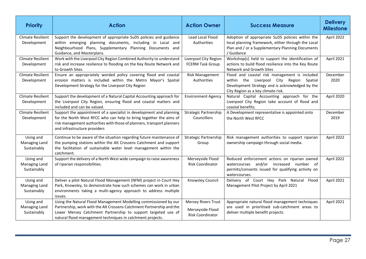| <b>Priority</b>                                  | <b>Action</b>                                                                                                                                                                                                                                                            | <b>Action Owner</b>                                                | <b>Success Measure</b>                                                                                                                                                             | <b>Delivery</b><br><b>Milestone</b> |
|--------------------------------------------------|--------------------------------------------------------------------------------------------------------------------------------------------------------------------------------------------------------------------------------------------------------------------------|--------------------------------------------------------------------|------------------------------------------------------------------------------------------------------------------------------------------------------------------------------------|-------------------------------------|
| <b>Climate Resilient</b><br>Development          | Support the development of appropriate SuDS policies and guidance<br>within emerging planning documents, including in Local and<br>Neighbourhood Plans, Supplementary Planning Documents and<br>Guidance, and Masterplans.                                               | Lead Local Flood<br>Authorities                                    | Adoption of appropriate SuDS policies within the<br>local planning framework, either through the Local<br>Plan and / or a Supplementary Planning Documents<br>/ Guidance           | April 2022                          |
| <b>Climate Resilient</b><br>Development          | Work with the Liverpool City Region Combined Authority to understand<br>risk and increase resilience to flooding on the Key Route Network and<br>to Growth Sites.                                                                                                        | Liverpool City Region<br><b>FCERM Task Group</b>                   | Workshop(s) held to support the identification of<br>actions to build flood resilience into the Key Route<br>Network and Growth Sites                                              | April 2021                          |
| <b>Climate Resilient</b><br>Development          | Ensure an appropriately worded policy covering flood and coastal<br>erosion matters is included within the Metro Mayor's Spatial<br>Development Strategy for the Liverpool City Region                                                                                   | <b>Risk Management</b><br>Authorities                              | Flood and coastal risk management is included<br>within the Liverpool City Region Spatial<br>Development Strategy and is acknowledged by the<br>City Region as a key climate risk. | December<br>2020                    |
| <b>Climate Resilient</b><br>Development          | Support the development of a Natural Capital Accounting approach for<br>the Liverpool City Region, ensuring flood and coastal matters and<br>included and can be valued.                                                                                                 | <b>Environment Agency</b>                                          | Natural Capital Accounting approach for the<br>Liverpool City Region take account of flood and<br>coastal benefits.                                                                | April 2020                          |
| <b>Climate Resilient</b><br>Development          | Support the appointment of a specialist in development and planning<br>for the North West RFCC who can help to bring together the aims of<br>risk management authorities with those of planners, transport planners<br>and infrastructure providers                      | Strategic Partnership<br>Councillors                               | A Development representative is appointed onto<br>the North West RFCC                                                                                                              | December<br>2019                    |
| Using and<br><b>Managing Land</b><br>Sustainably | Continue to be aware of the situation regarding future maintenance of<br>the pumping stations within the Alt Crossens Catchment and support<br>the facilitation of sustainable water level management within the<br>catchment.                                           | <b>Strategic Partnership</b><br>Group                              | Risk management authorities to support riparian<br>ownership campaign through social media.                                                                                        | April 2022                          |
| Using and<br>Managing Land<br>Sustainably        | Support the delivery of a North West wide campaign to raise awareness<br>of riparian responsibilities.                                                                                                                                                                   | Merseyside Flood<br><b>Risk Coordinator</b>                        | Reduced enforcement actions on riparian owned<br>watercourses and/or increased number of<br>permits/consents issued for qualifying activity on<br>watercourses.                    | April 2022                          |
| Using and<br>Managing Land<br>Sustainably        | Deliver a pilot Natural Flood Management (NFM) project in Court Hey<br>Park, Knowsley, to demonstrate how such schemes can work in urban<br>environments taking a multi-agency approach to address multiple<br>issues.                                                   | Knowsley Council                                                   | Flood<br>Delivery of Court Hey Park Natural<br>Management Pilot Project by April 2021                                                                                              | April 2021                          |
| Using and<br><b>Managing Land</b><br>Sustainably | Using the Natural Flood Management Modelling commissioned by our<br>Partnership, work with the Alt Crossens Catchment Partnership and the<br>Lower Mersey Catchment Partnership to support targeted use of<br>natural flood management techniques in catchment projects. | <b>Mersey Rivers Trust</b><br>Merseyside Flood<br>Risk Coordinator | Appropriate natural flood management techniques<br>are used in prioritised sub-catchment areas to<br>deliver multiple benefit projects.                                            | April 2021                          |